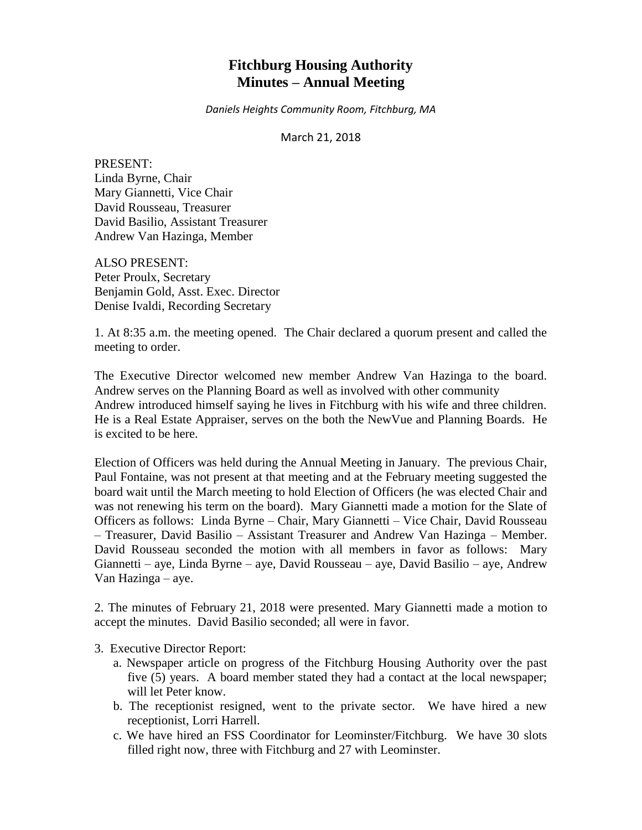# **Fitchburg Housing Authority Minutes – Annual Meeting**

*Daniels Heights Community Room, Fitchburg, MA*

March 21, 2018

PRESENT: Linda Byrne, Chair Mary Giannetti, Vice Chair David Rousseau, Treasurer David Basilio, Assistant Treasurer Andrew Van Hazinga, Member

ALSO PRESENT: Peter Proulx, Secretary Benjamin Gold, Asst. Exec. Director Denise Ivaldi, Recording Secretary

1. At 8:35 a.m. the meeting opened. The Chair declared a quorum present and called the meeting to order.

The Executive Director welcomed new member Andrew Van Hazinga to the board. Andrew serves on the Planning Board as well as involved with other community Andrew introduced himself saying he lives in Fitchburg with his wife and three children. He is a Real Estate Appraiser, serves on the both the NewVue and Planning Boards. He is excited to be here.

Election of Officers was held during the Annual Meeting in January. The previous Chair, Paul Fontaine, was not present at that meeting and at the February meeting suggested the board wait until the March meeting to hold Election of Officers (he was elected Chair and was not renewing his term on the board). Mary Giannetti made a motion for the Slate of Officers as follows: Linda Byrne – Chair, Mary Giannetti – Vice Chair, David Rousseau – Treasurer, David Basilio – Assistant Treasurer and Andrew Van Hazinga – Member. David Rousseau seconded the motion with all members in favor as follows: Mary Giannetti – aye, Linda Byrne – aye, David Rousseau – aye, David Basilio – aye, Andrew Van Hazinga – aye.

2. The minutes of February 21, 2018 were presented. Mary Giannetti made a motion to accept the minutes. David Basilio seconded; all were in favor.

3. Executive Director Report:

- a. Newspaper article on progress of the Fitchburg Housing Authority over the past five (5) years. A board member stated they had a contact at the local newspaper; will let Peter know.
- b. The receptionist resigned, went to the private sector. We have hired a new receptionist, Lorri Harrell.
- c. We have hired an FSS Coordinator for Leominster/Fitchburg. We have 30 slots filled right now, three with Fitchburg and 27 with Leominster.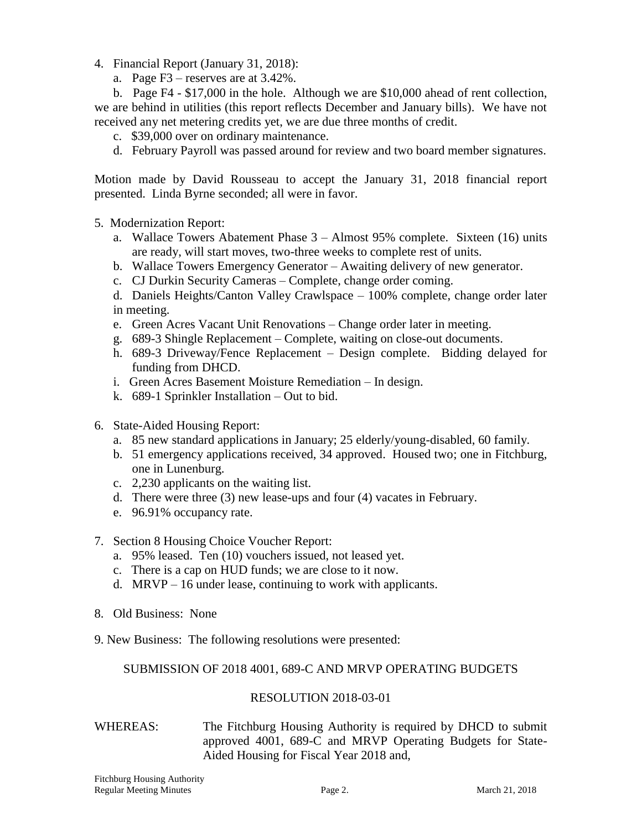- 4. Financial Report (January 31, 2018):
	- a. Page F3 reserves are at 3.42%.

b. Page F4 - \$17,000 in the hole. Although we are \$10,000 ahead of rent collection, we are behind in utilities (this report reflects December and January bills). We have not received any net metering credits yet, we are due three months of credit.

- c. \$39,000 over on ordinary maintenance.
- d. February Payroll was passed around for review and two board member signatures.

Motion made by David Rousseau to accept the January 31, 2018 financial report presented. Linda Byrne seconded; all were in favor.

- 5. Modernization Report:
	- a. Wallace Towers Abatement Phase 3 Almost 95% complete. Sixteen (16) units are ready, will start moves, two-three weeks to complete rest of units.
	- b. Wallace Towers Emergency Generator Awaiting delivery of new generator.
	- c. CJ Durkin Security Cameras Complete, change order coming.
	- d. Daniels Heights/Canton Valley Crawlspace 100% complete, change order later in meeting.
	- e. Green Acres Vacant Unit Renovations Change order later in meeting.
	- g. 689-3 Shingle Replacement Complete, waiting on close-out documents.
	- h. 689-3 Driveway/Fence Replacement Design complete. Bidding delayed for funding from DHCD.
	- i. Green Acres Basement Moisture Remediation In design.
	- k. 689-1 Sprinkler Installation Out to bid.
- 6. State-Aided Housing Report:
	- a. 85 new standard applications in January; 25 elderly/young-disabled, 60 family.
	- b. 51 emergency applications received, 34 approved. Housed two; one in Fitchburg, one in Lunenburg.
	- c. 2,230 applicants on the waiting list.
	- d. There were three (3) new lease-ups and four (4) vacates in February.
	- e. 96.91% occupancy rate.
- 7. Section 8 Housing Choice Voucher Report:
	- a. 95% leased. Ten (10) vouchers issued, not leased yet.
	- c. There is a cap on HUD funds; we are close to it now.
	- d. MRVP 16 under lease, continuing to work with applicants.
- 8. Old Business: None
- 9. New Business: The following resolutions were presented:

## SUBMISSION OF 2018 4001, 689-C AND MRVP OPERATING BUDGETS

## RESOLUTION 2018-03-01

## WHEREAS: The Fitchburg Housing Authority is required by DHCD to submit approved 4001, 689-C and MRVP Operating Budgets for State-Aided Housing for Fiscal Year 2018 and,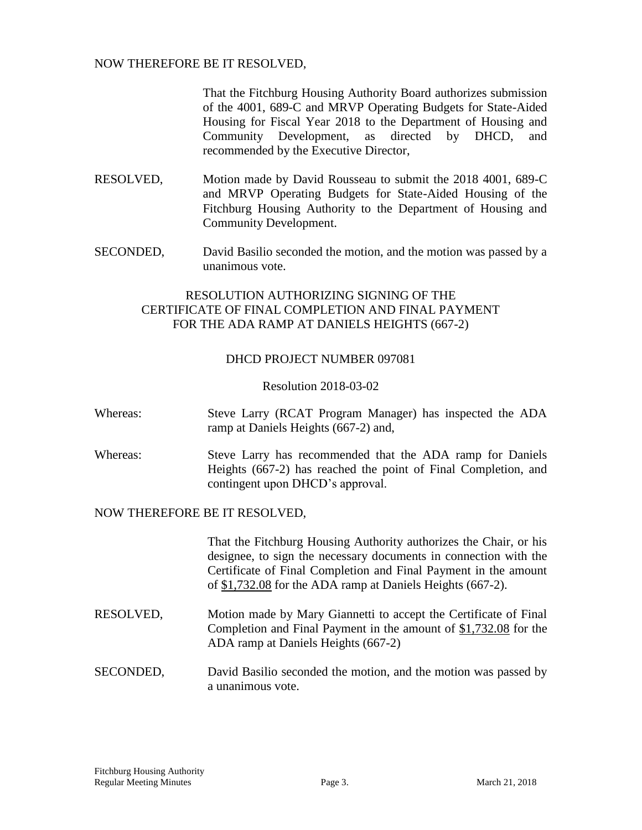## NOW THEREFORE BE IT RESOLVED,

That the Fitchburg Housing Authority Board authorizes submission of the 4001, 689-C and MRVP Operating Budgets for State-Aided Housing for Fiscal Year 2018 to the Department of Housing and Community Development, as directed by DHCD, and recommended by the Executive Director,

- RESOLVED, Motion made by David Rousseau to submit the 2018 4001, 689-C and MRVP Operating Budgets for State-Aided Housing of the Fitchburg Housing Authority to the Department of Housing and Community Development.
- SECONDED, David Basilio seconded the motion, and the motion was passed by a unanimous vote.

# RESOLUTION AUTHORIZING SIGNING OF THE CERTIFICATE OF FINAL COMPLETION AND FINAL PAYMENT FOR THE ADA RAMP AT DANIELS HEIGHTS (667-2)

## DHCD PROJECT NUMBER 097081

Resolution 2018-03-02

- Whereas: Steve Larry (RCAT Program Manager) has inspected the ADA ramp at Daniels Heights (667-2) and,
- Whereas: Steve Larry has recommended that the ADA ramp for Daniels Heights (667-2) has reached the point of Final Completion, and contingent upon DHCD's approval.

## NOW THEREFORE BE IT RESOLVED,

That the Fitchburg Housing Authority authorizes the Chair, or his designee, to sign the necessary documents in connection with the Certificate of Final Completion and Final Payment in the amount of \$1,732.08 for the ADA ramp at Daniels Heights (667-2).

- RESOLVED, Motion made by Mary Giannetti to accept the Certificate of Final Completion and Final Payment in the amount of \$1,732.08 for the ADA ramp at Daniels Heights (667-2)
- SECONDED, David Basilio seconded the motion, and the motion was passed by a unanimous vote.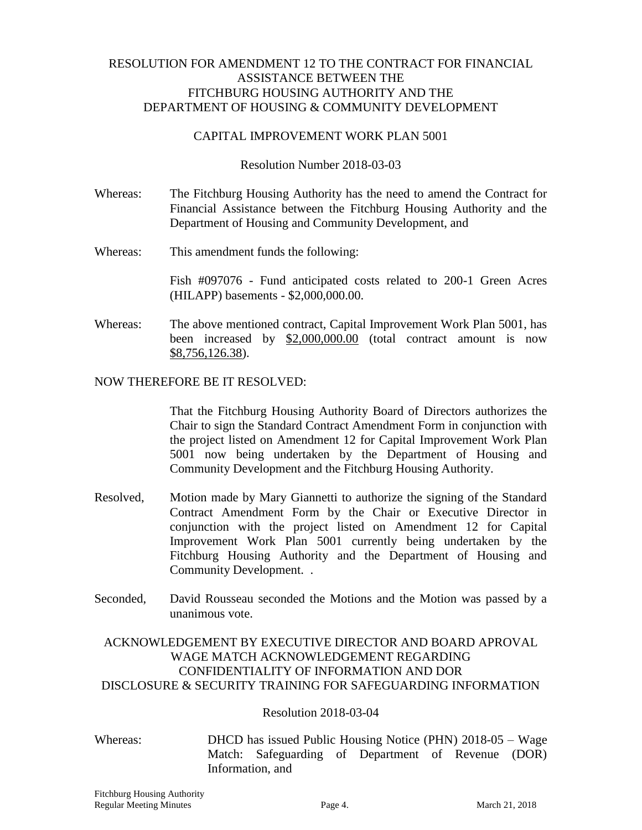## RESOLUTION FOR AMENDMENT 12 TO THE CONTRACT FOR FINANCIAL ASSISTANCE BETWEEN THE FITCHBURG HOUSING AUTHORITY AND THE DEPARTMENT OF HOUSING & COMMUNITY DEVELOPMENT

## CAPITAL IMPROVEMENT WORK PLAN 5001

Resolution Number 2018-03-03

- Whereas: The Fitchburg Housing Authority has the need to amend the Contract for Financial Assistance between the Fitchburg Housing Authority and the Department of Housing and Community Development, and
- Whereas: This amendment funds the following:

Fish #097076 - Fund anticipated costs related to 200-1 Green Acres (HILAPP) basements - \$2,000,000.00.

Whereas: The above mentioned contract, Capital Improvement Work Plan 5001, has been increased by \$2,000,000.00 (total contract amount is now \$8,756,126.38).

## NOW THEREFORE BE IT RESOLVED:

That the Fitchburg Housing Authority Board of Directors authorizes the Chair to sign the Standard Contract Amendment Form in conjunction with the project listed on Amendment 12 for Capital Improvement Work Plan 5001 now being undertaken by the Department of Housing and Community Development and the Fitchburg Housing Authority.

- Resolved, Motion made by Mary Giannetti to authorize the signing of the Standard Contract Amendment Form by the Chair or Executive Director in conjunction with the project listed on Amendment 12 for Capital Improvement Work Plan 5001 currently being undertaken by the Fitchburg Housing Authority and the Department of Housing and Community Development. .
- Seconded, David Rousseau seconded the Motions and the Motion was passed by a unanimous vote.

## ACKNOWLEDGEMENT BY EXECUTIVE DIRECTOR AND BOARD APROVAL WAGE MATCH ACKNOWLEDGEMENT REGARDING CONFIDENTIALITY OF INFORMATION AND DOR DISCLOSURE & SECURITY TRAINING FOR SAFEGUARDING INFORMATION

## Resolution 2018-03-04

Whereas: DHCD has issued Public Housing Notice (PHN) 2018-05 – Wage Match: Safeguarding of Department of Revenue (DOR) Information, and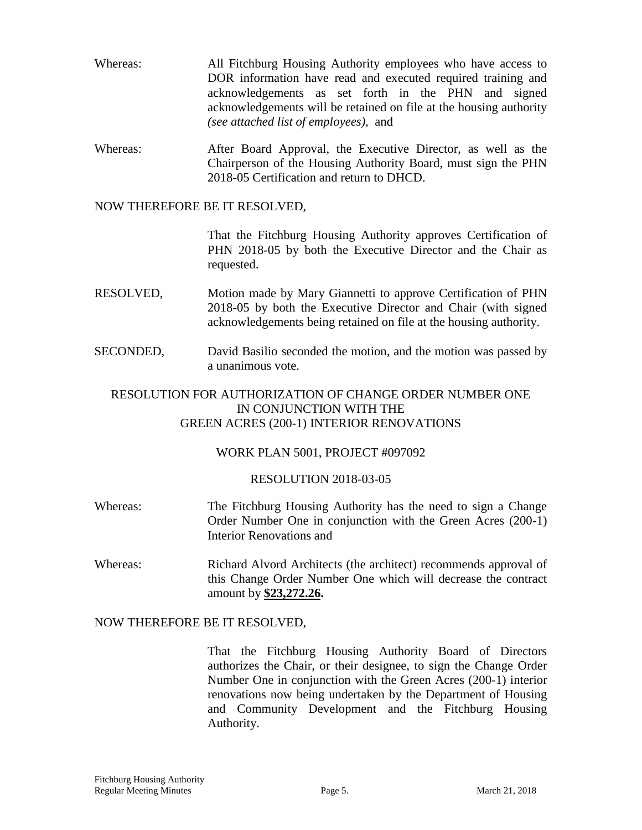- Whereas: All Fitchburg Housing Authority employees who have access to DOR information have read and executed required training and acknowledgements as set forth in the PHN and signed acknowledgements will be retained on file at the housing authority *(see attached list of employees),* and
- Whereas: After Board Approval, the Executive Director, as well as the Chairperson of the Housing Authority Board, must sign the PHN 2018-05 Certification and return to DHCD.

### NOW THEREFORE BE IT RESOLVED,

That the Fitchburg Housing Authority approves Certification of PHN 2018-05 by both the Executive Director and the Chair as requested.

- RESOLVED, Motion made by Mary Giannetti to approve Certification of PHN 2018-05 by both the Executive Director and Chair (with signed acknowledgements being retained on file at the housing authority.
- SECONDED, David Basilio seconded the motion, and the motion was passed by a unanimous vote.

## RESOLUTION FOR AUTHORIZATION OF CHANGE ORDER NUMBER ONE IN CONJUNCTION WITH THE GREEN ACRES (200-1) INTERIOR RENOVATIONS

## WORK PLAN 5001, PROJECT #097092

#### RESOLUTION 2018-03-05

- Whereas: The Fitchburg Housing Authority has the need to sign a Change Order Number One in conjunction with the Green Acres (200-1) Interior Renovations and
- Whereas: Richard Alvord Architects (the architect) recommends approval of this Change Order Number One which will decrease the contract amount by **\$23,272.26.**

#### NOW THEREFORE BE IT RESOLVED,

That the Fitchburg Housing Authority Board of Directors authorizes the Chair, or their designee, to sign the Change Order Number One in conjunction with the Green Acres (200-1) interior renovations now being undertaken by the Department of Housing and Community Development and the Fitchburg Housing Authority.